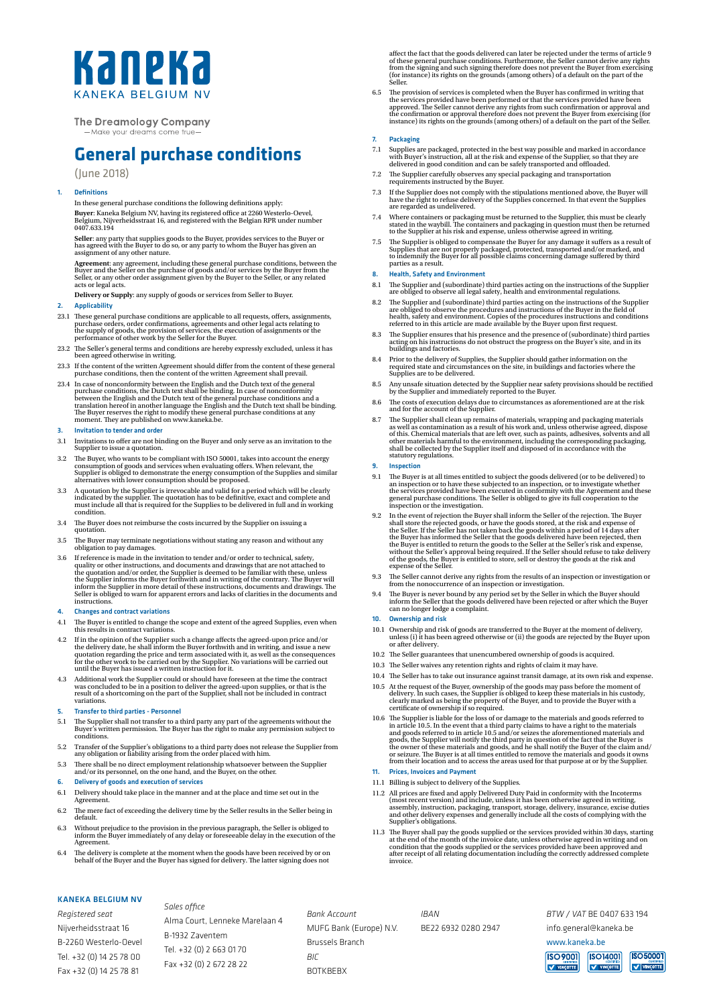# Kaneka *CANEKA RELGIUM*

# **The Dreamology Company**

-Make vour dreams come true

# **General purchase conditions**

(June 2018)

### 1. Definitions

In these general purchase conditions the following definitions apply: **Buyer**: Kaneka Belgium NV, having its registered office at 2260 Westerlo-Oevel,<br>Belgium, Nijverheidsstraat 16, and registered with the Belgian RPR under number<br>0407.633.194

**Seller**: any party that supplies goods to the Buyer, provides services to the Buyer or has agreed with the Buyer to do so, or any party to whom the Buyer has given an assignment of any other nature.

**Agreement**: any agreement, including these general purchase conditions, between the<br>Buyer and the Seller on the purchase of goods and/or services by the Buyer from the<br>Seller, or any other order assignment given by the Bu

**Delivery or Supply**: any supply of goods or services from Seller to Buyer.

# 2. Applicability

- 23.1 These general purchase conditions are applicable to all requests, offers, assignments, purchase orders, order confirmations, agreements and other legal acts relating to the supply of goods, the provision of services,
- 23.2 The Seller's general terms and conditions are hereby expressly excluded, unless it has been agreed otherwise in writing.
- 23.3 If the content of the written Agreement should differ from the content of these general purchase conditions, then the content of the written Agreement shall prevail.
- 23.4 In case of nonconformity between the English and the Dutch text of the general purchase conditions, the Dutch text shall be binding. In case of nonconformity between the English and the Dutch text of the general purc

#### 3. Invitation to tender and order

- 3.1 Invitations to offer are not binding on the Buyer and only serve as an invitation to the Supplier to issue a quotation.
- 3.2 The Buyer, who wants to be compliant with ISO 50001, takes into account the energy consumption of goods and services when evaluating offers. When relevant, the Supplier is obliged to demonstrate the energy consumption
- 3.3 A quotation by the Supplier is irrevocable and valid for a period which will be clearly indicated by the supplier. The quotation has to be definitive, exact and complete and must include all that is required for the Supplies to be delivered in full and in working condition.
- 3.4 The Buyer does not reimburse the costs incurred by the Supplier on issuing a quotation.
- 3.5 The Buyer may terminate negotiations without stating any reason and without any obligation to pay damages.
- 3.6 If reference is made in the invitation to tender and/or order to technical, safety, quality or other instructions, and documents and drawings that are not attached to<br>the quotation and/or order, the Supplier is deemed to be familiar with these, unless<br>the Supplier informs the Buyer forthwith and in writin instructions.

#### 4. Changes and contract variations

- 4.1 The Buyer is entitled to change the scope and extent of the agreed Supplies, even when this results in contract variations.
- 4.2 If in the opinion of the Supplier such a change affects the agreed-upon price and/or the delivery date, he shall inform the Buyer forthwith and in writing, and issue a new quotation regarding the price and term associ
- 4.3 Additional work the Supplier could or should have foreseen at the time the contract was concluded to be in a position to deliver the agreed-upon supplies, or that is the result of a shortcoming on the part of the Suppl

#### 5. Transfer to third parties - Personnel

- 5.1 The Supplier shall not transfer to a third party any part of the agreements without the Buyer's written permission. The Buyer has the right to make any permission subject to conditions.
- 5.2 Transfer of the Supplier's obligations to a third party does not release the Supplier from any obligation or liability arising from the order placed with him.
- 5.3 There shall be no direct employment relationship whatsoever between the Supplier and/or its personnel, on the one hand, and the Buyer, on the other.

# 6. Delivery of goods and execution of services

- 6.1 Delivery should take place in the manner and at the place and time set out in the Agreement.
- 6.2 The mere fact of exceeding the delivery time by the Seller results in the Seller being in default.
- 6.3 Without prejudice to the provision in the previous paragraph, the Seller is obliged to inform the Buyer immediately of any delay or foreseeable delay in the execution of the Agreement.
- 6.4 The delivery is complete at the moment when the goods have been received by or on behalf of the Buyer and the Buyer has signed for delivery. The latter signing does not

# KANEKA BELGIUM NV

*Registered seat* Nijverheidsstraat 16 B-2260 Westerlo-Oevel Tel. +32 (0) 14 25 78 00 Fax +32 (0) 14 25 78 81

*Sales office* Alma Court, Lenneke Marelaan 4 B-1932 Zaventem Tel. +32 (0) 2 663 01 70 Fax +32 (0) 2 672 28 22

*Bank Account* MUFG Bank (Europe) N.V. Brussels Branch *BIC*  BOTKBEBX

affect the fact that the goods delivered can later be rejected under the terms of article 9<br>of these general purchase conditions. Furthermore, the Seller cannot derive any rights<br>from the signing and such signing therefore Seller.

6.5 The provision of services is completed when the Buyer has confirmed in writing that the services provided have been performed or that the services provided have been approved. The Seller cannot derive any rights from s

#### 7. Packaging

- 7.1 Supplies are packaged, protected in the best way possible and marked in accordance with Buyer's instruction, all at the risk and expense of the Supplier, so that they are delivered in good condition and can be safely t
- 7.2 The Supplier carefully observes any special packaging and transportation requirements instructed by the Buyer.
- 7.3 If the Supplier does not comply with the stipulations mentioned above, the Buyer will have the right to refuse delivery of the Supplies concerned. In that event the Supplies are regarded as undelivered.
- 7.4 Where containers or packaging must be returned to the Supplier, this must be clearly<br>stated in the waybill. The containers and packaging in question must then be returned<br>to the Supplier at his risk and expense, unless
- 7.5 The Supplier is obliged to compensate the Buyer for any damage it suffers as a result of Supplies that are not properly packaged, protected, transported and/or marked, and<br>to indemnify the Buyer for all possible claims parties as a result.

#### 8. Health, Safety and Environment

- 8.1 The Supplier and (subordinate) third parties acting on the instructions of the Supplier are obliged to observe all legal safety, health and environmental regulations.
- $8.2$  The Supplier and (subordinate) third parties acting on the instructions of the Supplier are obliged to observe the procedures and instructions of the Buyer in the field of health, safety and environment. Copies of t
- 8.3 The Supplier ensures that his presence and the presence of (subordinate) third parties acting on his instructions do not obstruct the progress on the Buyer's site, and in its buildings and factories.
- 8.4 Prior to the delivery of Supplies, the Supplier should gather information on the required state and circumstances on the site, in buildings and factories where the Supplies are to be delivered.
- 8.5 Any unsafe situation detected by the Supplier near safety provisions should be rectified by the Supplier and immediately reported to the Buyer.
- 8.6 The costs of execution delays due to circumstances as aforementioned are at the risk and for the account of the Supplier.
- $8.7$  The Supplier shall clean up remains of materials, wrapping and packaging materials as well as contamination as a result of his work and, unless otherwise agreed, dispose of this. Chemical materials that are left ove
- **Inspection**
- 9.1 The Buyer is at all times entitled to subject the goods delivered (or to be delivered) to an inspection or to have these subjected to an inspection, or to investigate whether the services provided have been executed in
- 9.2 In the event of rejection the Buyer shall inform the Seller of the rejection. The Buyer shall store the rejected goods, or have the goods stored, at the risk and expense of the Seller. If the Seller has not taken back
- 9.3 The Seller cannot derive any rights from the results of an inspection or investigation or from the nonoccurrence of an inspection or investigation.
- 9.4 The Buyer is never bound by any period set by the Seller in which the Buyer should inform the Seller that the goods delivered have been rejected or after which the Buyer can no longer lodge a complaint.

#### 10. Ownership and risk

- 10.1 Ownership and risk of goods are transferred to the Buyer at the moment of delivery, unless (i) it has been agreed otherwise or (ii) the goods are rejected by the Buyer upon or after delivery.
- 10.2 The Seller guarantees that unencumbered ownership of goods is acquired.
- 10.3 The Seller waives any retention rights and rights of claim it may have.
- 10.4 The Seller has to take out insurance against transit damage, at its own risk and expense.
- 10.5 At the request of the Buyer, ownership of the goods may pass before the moment of delivery. In such cases, the Supplier is obliged to keep these materials in his custody, clearly marked as being the property of the Bu
- 10.6 The Supplier is liable for the loss of or damage to the materials and goods referred to the materials and goods referred to in article 10.5 and/or seizes the aforementioned materials and goods, the Supplier will noti

# 11. Prices, Invoices and Payment

*IBAN*

BE22 6932 0280 2947

- 11.1 Billing is subject to delivery of the Supplies.
- $11.2$  All prices are fixed and apply Delivered Duty Paid in conformity with the Incoterms (most recent version) and include, unless it has been otherwise agreed in writing, assembly, instruction, packaging, transport, st
- $11.3$  The Buyer shall pay the goods supplied or the services provided within 30 days, starting at the end of the month of the invoice date, unless otherwise agreed in writing and on and condition that the goods supplied

*BTW / VAT* BE 0407 633 194

info.general@kaneka.be

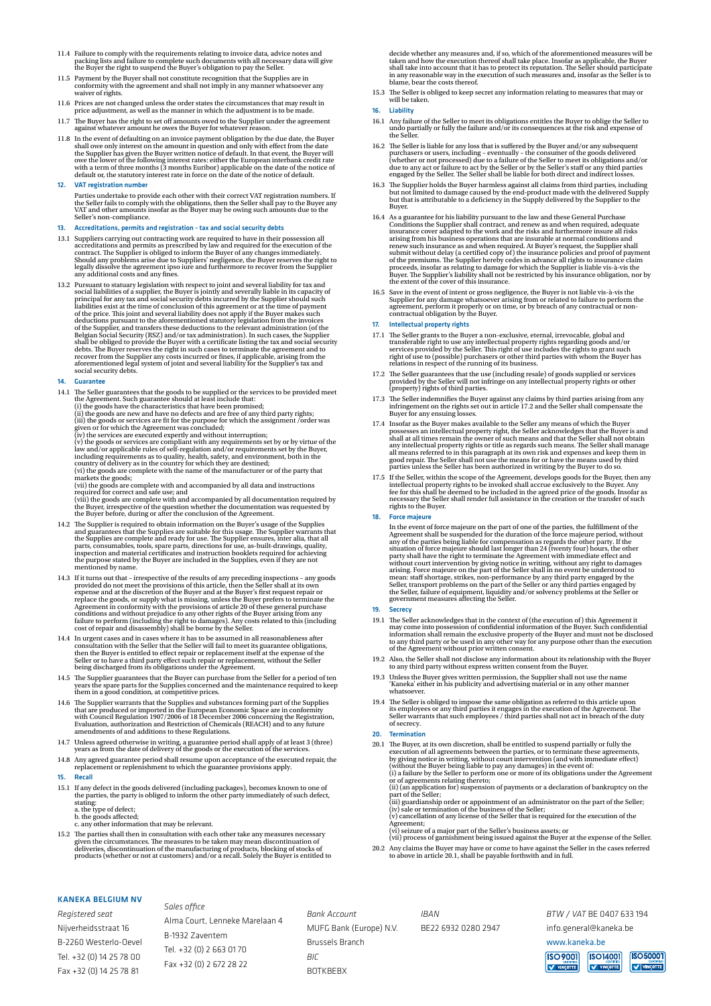- 11.4 Failure to comply with the requirements relating to invoice data, advice notes and packing lists and failure to complete such pocally packing lists and failure to complete such the Buyer is obligation to pay the Sulle
- 11.5 Payment by the Buyer shall not constitute recognition that the Supplies are in conformity with the agreement and shall not imply in any manner whatsoever any waiver of rights.
- 11.6 Prices are not changed unless the order states the circumstances that may result in price adjustment, as well as the manner in which the adjustment is to be made.
- 11.7 The Buyer has the right to set off amounts owed to the Supplier under the agreement against whatever amount he owes the Buyer for whatever reason.
- 11.8 In the event of defaulting on an invoice payment obligation by the due date, the Buyer shall owe only interest on the amount in question and only with effect from the date the Supplier has given the Buyer written not

# VAT registration number

Parties undertake to provide each other with their correct VAT registration numbers. If<br>the Seller fails to comply with the obligations, then the Seller shall pay to the Buyer any<br>VAT and other amounts insofar as the Buyer

#### Accreditations, permits and registration - tax and social security debts

- 13.1 Suppliers carrying out contracting work are required to have in their possession all accreditations and permits as prescribed by law and required for the execution of the contract. The Supplier is obliged to inform th
- 13.2 Pursuant to statuary legislation with respect to joint and several liability for tax and social liabilities of a supplier, the Buyer is jointly and severally liable in its capacity of principal for any tax and social

#### 14. Guarantee

- 14.1 The Seller guarantees that the goods to be supplied or the services to be provided meet<br>the Agreement. Such guarantee should at least include that:<br>(i) the goods have the characteristics that have been promised;<br>(ii)
	-

(ii) the goods or services are fit for the purpose for which the assignment /order was<br>given or for which the Agreement was concluded;<br>(iv) the services are executed expertly and without interruption;<br>(iv) the services ar

- 14.2 The Supplier is required to obtain information on the Buyer's usage of the Supplies and guarantees that the Supplies are suitable for this usage. The Supplier warrants that the Supplies are complete and ready for use.
- 14.3 If it turns out that irrespective of the results of any preceding inspections any goods provided do not meet the provisions of this article, then the Seller shall at its own expense and at the discretion of the B
- 14.4 In urgent cases and in cases where it has to be assumed in all reasonableness after<br>consultation with the Seller that the Seller will fail to meet its guarantee obligations,<br>then the Buyer is entitled to effect repair
- 14.5 The Supplier guarantees that the Buyer can purchase from the Seller for a period of ten<br>years the spare parts for the Supplies concerned and the maintenance required to keep<br>them in a good condition, at competitive pr
- 14.6 The Supplier warrants that the Supplies and substances forming part of the Supplies<br>that are produced or imported in the European Economic Space are in conformity<br>with Council Regulation 1907/2006 of 18 December 2006
- 14.7 Unless agreed otherwise in writing, a guarantee period shall apply of at least 3 (three) years as from the date of delivery of the goods or the execution of the services.
- 14.8 Any agreed guarantee period shall resume upon acceptance of the executed repair, the replacement or replenishment to which the guarantee provisions apply. Recall
- 15.1 If any defect in the goods delivered (including packages), becomes known to one of the parties, the party is obliged to inform the other party immediately of such defect, stating:
	- a. the type of defect; b. the goods affected;
	- c. any other information that may be relevant.
- 15.2 The parties shall then in consultation with each other take any measures necessary given the circumstances. The measures to be taken may mean discontinuation of the manufacturing of products, blocking of stocks of pr

decide whether any measures and, if so, which of the aforementioned measures will be<br>taken and how the execution thereof shall take place. Insofar as applicable, the Buyer<br>shall take into account that it has to protect its blame, bear the costs thereof.

15.3 The Seller is obliged to keep secret any information relating to measures that may or will be taken.

# Liability

- 16.1 Any failure of the Seller to meet its obligations entitles the Buyer to oblige the Seller to undo partially or fully the failure and/or its consequences at the risk and expense of the Seller.
- 16.2 The Seller is liable for any loss that is suffered by the Buyer and/or any subsequent purchasers or users, including eventually the consumer of the goods delivered (whether or not processed) due to a failure of th
- 16.3 The Supplier holds the Buyer harmless against all claims from third parties, including<br>but not limited to damage caused by the end-product made with the delivered Supply<br>but that is attributable to a deficiency in the Buyer.
- 16.4 As a quarantee for his liability pursuant to the law and these General Purchase<br>Conditions the Supplier shall contract, and renew as and when required, adequate<br>insurance cover adapted to the work and the risks and fu
- 16.5 Save in the event of intent or gross negligence, the Buyer is not liable vis-à-vis the Supplier for any damage whatsoever arising from or related to failure to perform the agreement, perform it properly or on time, or

#### Intellectual property rights

- 17.1 The Seller grants to the Buyer a non-exclusive, eternal, irrevocable, global and transferable right to use any intellectual property rights regarding goods and/or services provided by the Seller. This right of use inc
- 17.2 The Seller guarantees that the use (including resale) of goods supplied or services provided by the Seller will not infringe on any intellectual property rights or other (property) rights of third parties.
- 17.3 The Seller indemnifies the Buyer against any claims by third parties arising from any infringement on the rights set out in article 17.2 and the Seller shall compensate the Buyer for any ensuing losses.
- 17.4 Insofar as the Buyer makes available to the Seller any means of which the Buyer possesses an intellectual property right, the Seller acknowledges that the Buyer is and shall at all times remain the owner of such means
- 17.5 If the Seller, within the scope of the Agreement, develops goods for the Buyer, then since the incomenty rights to be invoked shall accrue exclusively to the Buyer. Any fee for this shall be deemed to be included in t

# 18. Force majeure

In the event of force majeure on the part of one of the parties, the fulfillment of the Agreement shall be suspended for the duration of the force majeure period, without any of the parties being liable for compensation a

#### 19. Secrecy

- 19.1 The Seller acknowledges that in the context of (the execution of) this Agreement it may come into possession of confidential information of the Buyer. Such confidential information shall remain the exclusive property
- 19.2 Also, the Seller shall not disclose any information about its relationship with the Buyer to any third party without express written consent from the Buyer.
- 19.3 Unless the Buyer gives written permission, the Supplier shall not use the name 'Kaneka' either in his publicity and advertising material or in any other manner whatsoever.
- 19.4 The Seller is obliged to impose the same obligation as referred to this article upon<br>its employees or any third parties it engages in the execution of the Agreement. The<br>Seller warrants that such employees / third par of secrecy.

#### 20. Termination

- 20.1 The Buyer, at its own discretion, shall be entitled to suspend partially or fully the execution of all agreements, between the parties, or to terminate these agreements, by giving notice in writing, without count int
	-
	-
	- Agreement; (vi) seizure of a major part of the Seller's business assets; or (vii) process of garnishment being issued against the Buyer at the expense of the Seller.
	-
- 20.2 Any claims the Buyer may have or come to have against the Seller in the cases referred to above in article 20.1, shall be payable forthwith and in full.

# KANEKA BELGIUM NV

*Registered seat* Nijverheidsstraat 16 B-2260 Westerlo-Oevel Tel. +32 (0) 14 25 78 00 Fax +32 (0) 14 25 78 81

*Sales office* Alma Court, Lenneke Marelaan 4 B-1932 Zaventem Tel. +32 (0) 2 663 01 70 Fax +32 (0) 2 672 28 22

*Bank Account* MUFG Bank (Europe) N.V. Brussels Branch

*BIC*  BOTKBEBX

*IBAN* BE22 6932 0280 2947 *BTW / VAT* BE 0407 633 194

info.general@kaneka.be